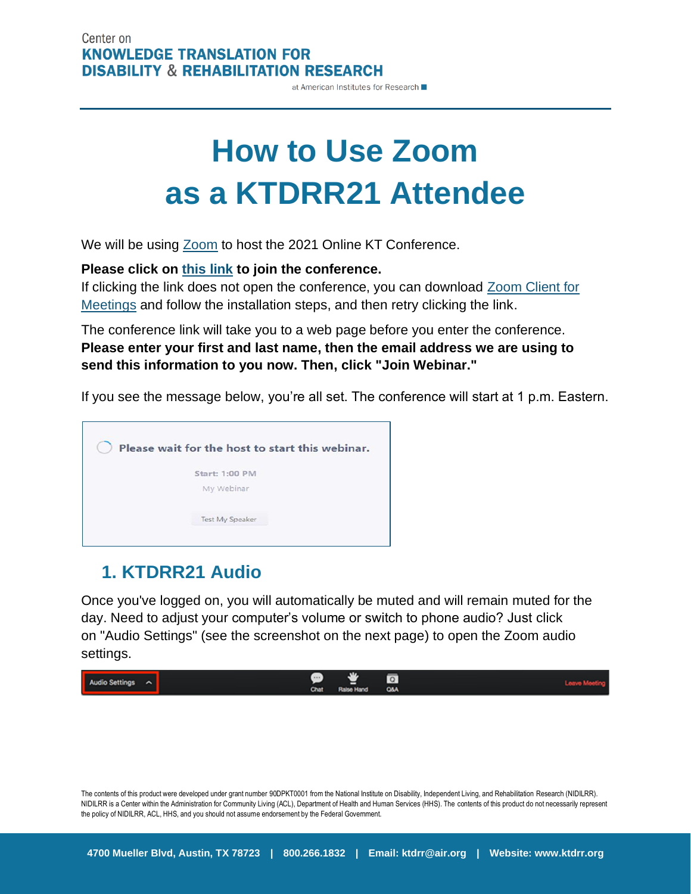#### Center on **KNOWLEDGE TRANSLATION FOR DISABILITY & REHABILITATION RESEARCH**

at American Institutes for Research

# **How to Use Zoom as a KTDRR21 Attendee**

We will be using [Zoom](https://zoom.us/) to host the 2021 Online KT Conference.

**Please click on [this link](https://air-org.zoom.us/j/94017789329?pwd=anZYM25vaGd6dkpidExFNHAvMTRMUT09) to join the conference.**

If clicking the link does not open the conference, you can download [Zoom Client for](https://zoom.us/client/latest/ZoomInstaller.exe)  [Meetings](https://zoom.us/client/latest/ZoomInstaller.exe) and follow the installation steps, and then retry clicking the link.

The conference link will take you to a web page before you enter the conference. **Please enter your first and last name, then the email address we are using to send this information to you now. Then, click "Join Webinar."**

If you see the message below, you're all set. The conference will start at 1 p.m. Eastern.



## **1. KTDRR21 Audio**

Once you've logged on, you will automatically be muted and will remain muted for the day. Need to adjust your computer's volume or switch to phone audio? Just click on "Audio Settings" (see the screenshot on the next page) to open the Zoom audio settings.



The contents of this product were developed under grant number 90DPKT0001 from the National Institute on Disability, Independent Living, and Rehabilitation Research (NIDILRR). NIDILRR is a Center within the Administration for Community Living (ACL), Department of Health and Human Services (HHS). The contents of this product do not necessarily represent the policy of NIDILRR, ACL, HHS, and you should not assume endorsement by the Federal Government.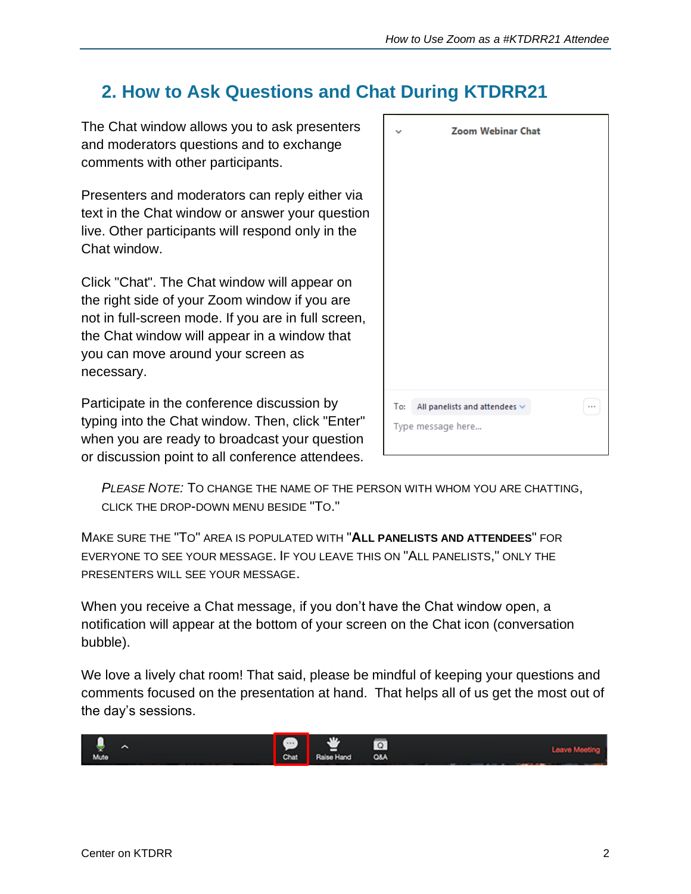# **2. How to Ask Questions and Chat During KTDRR21**

The Chat window allows you to ask presenters and moderators questions and to exchange comments with other participants.

Presenters and moderators can reply either via text in the Chat window or answer your question live. Other participants will respond only in the Chat window.

Click "Chat". The Chat window will appear on the right side of your Zoom window if you are not in full-screen mode. If you are in full screen, the Chat window will appear in a window that you can move around your screen as necessary.

Participate in the conference discussion by typing into the Chat window. Then, click "Enter" when you are ready to broadcast your question or discussion point to all conference attendees.

|                   | <b>Zoom Webinar Chat</b>               |  |
|-------------------|----------------------------------------|--|
|                   |                                        |  |
|                   |                                        |  |
|                   |                                        |  |
|                   |                                        |  |
|                   |                                        |  |
|                   |                                        |  |
|                   |                                        |  |
|                   |                                        |  |
| To:               | All panelists and attendees $\backsim$ |  |
| Type message here |                                        |  |

*PLEASE NOTE:* TO CHANGE THE NAME OF THE PERSON WITH WHOM YOU ARE CHATTING, CLICK THE DROP-DOWN MENU BESIDE "TO."

MAKE SURE THE "TO" AREA IS POPULATED WITH "**ALL PANELISTS AND ATTENDEES**" FOR EVERYONE TO SEE YOUR MESSAGE. IF YOU LEAVE THIS ON "ALL PANELISTS," ONLY THE PRESENTERS WILL SEE YOUR MESSAGE.

When you receive a Chat message, if you don't have the Chat window open, a notification will appear at the bottom of your screen on the Chat icon (conversation bubble).

We love a lively chat room! That said, please be mindful of keeping your questions and comments focused on the presentation at hand. That helps all of us get the most out of the day's sessions.